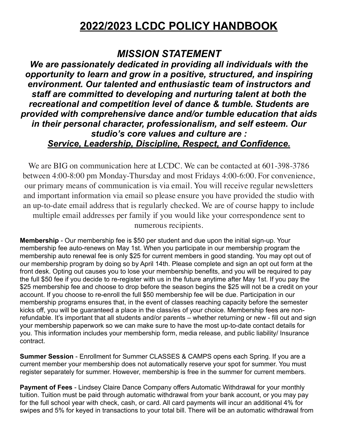# **2022/2023 LCDC POLICY HANDBOOK**

# *MISSION STATEMENT*

*We are passionately dedicated in providing all individuals with the opportunity to learn and grow in a positive, structured, and inspiring environment. Our talented and enthusiastic team of instructors and staff are committed to developing and nurturing talent at both the recreational and competition level of dance & tumble. Students are provided with comprehensive dance and/or tumble education that aids in their personal character, professionalism, and self esteem. Our studio's core values and culture are : Service, Leadership, Discipline, Respect, and Confidence.* 

We are BIG on communication here at LCDC. We can be contacted at 601-398-3786 between 4:00-8:00 pm Monday-Thursday and most Fridays 4:00-6:00. For convenience, our primary means of communication is via email. You will receive regular newsletters and important information via email so please ensure you have provided the studio with an up-to-date email address that is regularly checked. We are of course happy to include multiple email addresses per family if you would like your correspondence sent to numerous recipients.

**Membership** - Our membership fee is \$50 per student and due upon the initial sign-up. Your membership fee auto-renews on May 1st. When you participate in our membership program the membership auto renewal fee is only \$25 for current members in good standing. You may opt out of our membership program by doing so by April 14th. Please complete and sign an opt out form at the front desk. Opting out causes you to lose your membership benefits, and you will be required to pay the full \$50 fee if you decide to re-register with us in the future anytime after May 1st. If you pay the \$25 membership fee and choose to drop before the season begins the \$25 will not be a credit on your account. If you choose to re-enroll the full \$50 membership fee will be due. Participation in our membership programs ensures that, in the event of classes reaching capacity before the semester kicks off, you will be guaranteed a place in the class/es of your choice. Membership fees are nonrefundable. It's important that all students and/or parents – whether returning or new - fill out and sign your membership paperwork so we can make sure to have the most up-to-date contact details for you. This information includes your membership form, media release, and public liability/ Insurance contract.

**Summer Session** - Enrollment for Summer CLASSES & CAMPS opens each Spring. If you are a current member your membership does not automatically reserve your spot for summer. You must register separately for summer. However, membership is free in the summer for current members.

**Payment of Fees** - Lindsey Claire Dance Company offers Automatic Withdrawal for your monthly tuition. Tuition must be paid through automatic withdrawal from your bank account, or you may pay for the full school year with check, cash, or card. All card payments will incur an additional 4% for swipes and 5% for keyed in transactions to your total bill. There will be an automatic withdrawal from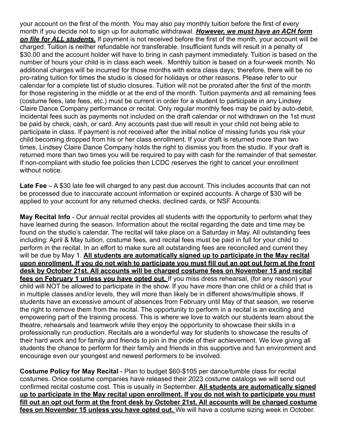your account on the first of the month. You may also pay monthly tuition before the first of every month if you decide not to sign up for automatic withdrawal. *However, we must have an ACH form on file for ALL students.* If payment is not received before the first of the month, your account will be charged. Tuition is neither refundable nor transferable. Insufficient funds will result in a penalty of \$30.00 and the account holder will have to bring in cash payment immediately. Tuition is based on the number of hours your child is in class each week. Monthly tuition is based on a four-week month. No additional charges will be incurred for those months with extra class days; therefore, there will be no pro-rating tuition for times the studio is closed for holidays or other reasons. Please refer to our calendar for a complete list of studio closures. Tuition will not be prorated after the first of the month for those registering in the middle or at the end of the month. Tuition payments and all remaining fees (costume fees, late fees, etc.) must be current in order for a student to participate in any Lindsey Claire Dance Company performance or recital. Only regular monthly fees may be paid by auto-debit, incidental fees such as payments not included on the draft calendar or not withdrawn on the 1st must be paid by check, cash, or card. Any accounts past due will result in your child not being able to participate in class. If payment is not received after the initial notice of missing funds you risk your child becoming dropped from his or her class enrollment. If your draft is returned more than two times, Lindsey Claire Dance Company holds the right to dismiss you from the studio. If your draft is returned more than two times you will be required to pay with cash for the remainder of that semester. If non-compliant with studio fee policies then LCDC reserves the right to cancel your enrollment without notice.

**Late Fee** – A \$30 late fee will charged to any past due account. This includes accounts that can not be processed due to inaccurate account information or expired accounts. A charge of \$30 will be applied to your account for any returned checks, declined cards, or NSF Accounts.

**May Recital Info** - Our annual recital provides all students with the opportunity to perform what they have learned during the season. Information about the recital regarding the date and time may be found on the studio's calendar. The recital will take place on a Saturday in May. All outstanding fees including: April & May tuition, costume fees, and recital fees must be paid in full for your child to perform in the recital. In an effort to make sure all outstanding fees are reconciled and current they will be due by May 1. **All students are automatically signed up to participate in the May recital upon enrollment. If you do not wish to participate you must fill out an opt out form at the front desk by October 21st. All accounts will be charged costume fees on November 15 and recital fees on February 1 unless you have opted out.** If you miss dress rehearsal, (for any reason) your child will NOT be allowed to participate in the show. If you have more than one child or a child that is in multiple classes and/or levels, they will more than likely be in different shows/multiple shows. If students have an excessive amount of absences from February until May of that season, we reserve the right to remove them from the recital. The opportunity to perform in a recital is an exciting and empowering part of the training process. This is where we love to watch our students learn about the theatre, rehearsals and teamwork while they enjoy the opportunity to showcase their skills in a professionally run production. Recitals are a wonderful way for students to showcase the results of their hard work and for family and friends to join in the pride of their achievement. We love giving all students the chance to perform for their family and friends in this supportive and fun environment and encourage even our youngest and newest performers to be involved.

**Costume Policy for May Recital** - Plan to budget \$60-\$105 per dance/tumble class for recital costumes. Once costume companies have released their 2023 costume catalogs we will send out confirmed recital costume cost. This is usually in September. **All students are automatically signed up to participate in the May recital upon enrollment. If you do not wish to participate you must fill out an opt out form at the front desk by October 21st. All accounts will be charged costume fees on November 15 unless you have opted out.** We will have a costume sizing week in October.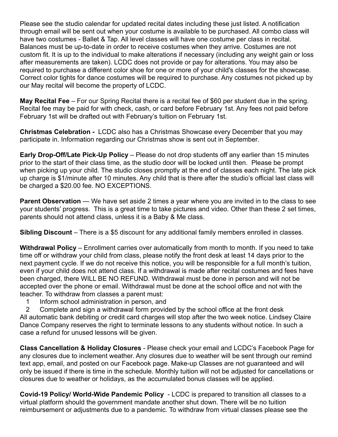Please see the studio calendar for updated recital dates including these just listed. A notification through email will be sent out when your costume is available to be purchased. All combo class will have two costumes - Ballet & Tap. All level classes will have one costume per class in recital. Balances must be up-to-date in order to receive costumes when they arrive. Costumes are not custom fit. It is up to the individual to make alterations if necessary (including any weight gain or loss after measurements are taken). LCDC does not provide or pay for alterations. You may also be required to purchase a different color shoe for one or more of your child's classes for the showcase. Correct color tights for dance costumes will be required to purchase. Any costumes not picked up by our May recital will become the property of LCDC.

**May Recital Fee** – For our Spring Recital there is a recital fee of \$60 per student due in the spring. Recital fee may be paid for with check, cash, or card before February 1st. Any fees not paid before February 1st will be drafted out with February's tuition on February 1st.

**Christmas Celebration -** LCDC also has a Christmas Showcase every December that you may participate in. Information regarding our Christmas show is sent out in September.

**Early Drop-Off/Late Pick-Up Policy** – Please do not drop students off any earlier than 15 minutes prior to the start of their class time, as the studio door will be locked until then. Please be prompt when picking up your child. The studio closes promptly at the end of classes each night. The late pick up charge is \$1/minute after 10 minutes. Any child that is there after the studio's official last class will be charged a \$20.00 fee. NO EXCEPTIONS.

**Parent Observation** — We have set aside 2 times a year where you are invited in to the class to see your students' progress. This is a great time to take pictures and video. Other than these 2 set times, parents should not attend class, unless it is a Baby & Me class.

**Sibling Discount** – There is a \$5 discount for any additional family members enrolled in classes.

**Withdrawal Policy** – Enrollment carries over automatically from month to month. If you need to take time off or withdraw your child from class, please notify the front desk at least 14 days prior to the next payment cycle. If we do not receive this notice, you will be responsible for a full month's tuition, even if your child does not attend class. If a withdrawal is made after recital costumes and fees have been charged, there WILL BE NO REFUND. Withdrawal must be done in person and will not be accepted over the phone or email. Withdrawal must be done at the school office and not with the teacher. To withdraw from classes a parent must:

- 1 Inform school administration in person, and
- 2 Complete and sign a withdrawal form provided by the school office at the front desk All automatic bank debiting or credit card charges will stop after the two week notice. Lindsey Claire Dance Company reserves the right to terminate lessons to any students without notice. In such a

case a refund for unused lessons will be given.

**Class Cancellation & Holiday Closures** - Please check your email and LCDC's Facebook Page for any closures due to inclement weather. Any closures due to weather will be sent through our remind text app, email, and posted on our Facebook page. Make-up Classes are not guaranteed and will only be issued if there is time in the schedule. Monthly tuition will not be adjusted for cancellations or closures due to weather or holidays, as the accumulated bonus classes will be applied.

**Covid-19 Policy/ World-Wide Pandemic Policy** - LCDC is prepared to transition all classes to a virtual platform should the government mandate another shut down. There will be no tuition reimbursement or adjustments due to a pandemic. To withdraw from virtual classes please see the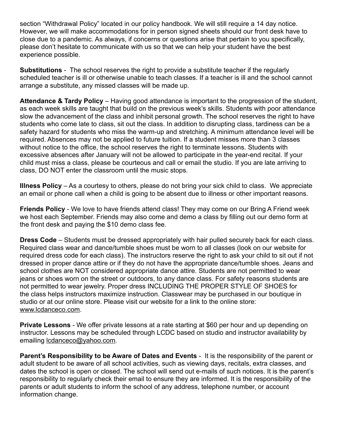section "Withdrawal Policy" located in our policy handbook. We will still require a 14 day notice. However, we will make accommodations for in person signed sheets should our front desk have to close due to a pandemic. As always, if concerns or questions arise that pertain to you specifically, please don't hesitate to communicate with us so that we can help your student have the best experience possible.

**Substitutions** - The school reserves the right to provide a substitute teacher if the regularly scheduled teacher is ill or otherwise unable to teach classes. If a teacher is ill and the school cannot arrange a substitute, any missed classes will be made up.

**Attendance & Tardy Policy** – Having good attendance is important to the progression of the student, as each week skills are taught that build on the previous week's skills. Students with poor attendance slow the advancement of the class and inhibit personal growth. The school reserves the right to have students who come late to class, sit out the class. In addition to disrupting class, tardiness can be a safety hazard for students who miss the warm-up and stretching. A minimum attendance level will be required. Absences may not be applied to future tuition. If a student misses more than 3 classes without notice to the office, the school reserves the right to terminate lessons. Students with excessive absences after January will not be allowed to participate in the year-end recital. If your child must miss a class, please be courteous and call or email the studio. If you are late arriving to class, DO NOT enter the classroom until the music stops.

**Illness Policy** – As a courtesy to others, please do not bring your sick child to class. We appreciate an email or phone call when a child is going to be absent due to illness or other important reasons.

**Friends Policy** - We love to have friends attend class! They may come on our Bring A Friend week we host each September. Friends may also come and demo a class by filling out our demo form at the front desk and paying the \$10 demo class fee.

**Dress Code** – Students must be dressed appropriately with hair pulled securely back for each class. Required class wear and dance/tumble shoes must be worn to all classes (look on our website for required dress code for each class). The instructors reserve the right to ask your child to sit out if not dressed in proper dance attire or if they do not have the appropriate dance/tumble shoes. Jeans and school clothes are NOT considered appropriate dance attire. Students are not permitted to wear jeans or shoes worn on the street or outdoors, to any dance class. For safety reasons students are not permitted to wear jewelry. Proper dress INCLUDING THE PROPER STYLE OF SHOES for the class helps instructors maximize instruction. Classwear may be purchased in our boutique in studio or at our online store. Please visit our website for a link to the online store: [www.lcdanceco.com.](http://www.lcdanceco.com)

**Private Lessons** - We offer private lessons at a rate starting at \$60 per hour and up depending on instructor. Lessons may be scheduled through LCDC based on studio and instructor availability by emailing [lcdanceco@yahoo.com.](mailto:lcdanceco@yahoo.com)

**Parent's Responsibility to be Aware of Dates and Events** - It is the responsibility of the parent or adult student to be aware of all school activities, such as viewing days, recitals, extra classes, and dates the school is open or closed. The school will send out e-mails of such notices. It is the parent's responsibility to regularly check their email to ensure they are informed. It is the responsibility of the parents or adult students to inform the school of any address, telephone number, or account information change.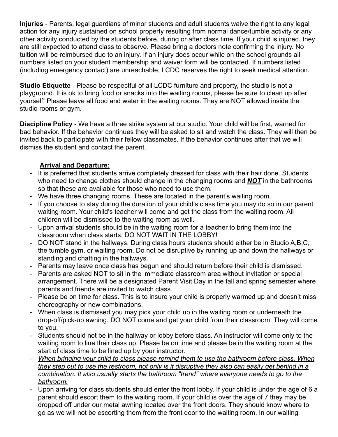**Injuries** - Parents, legal guardians of minor students and adult students waive the right to any legal action for any injury sustained on school property resulting from normal dance/tumble activity or any other activity conducted by the students before, during or after class time. If your child is injured, they are still expected to attend class to observe. Please bring a doctors note confirming the injury. No tuition will be reimbursed due to an injury. If an injury does occur while on the school grounds all numbers listed on your student membership and waiver form will be contacted. If numbers listed (including emergency contact) are unreachable, LCDC reserves the right to seek medical attention.

**Studio Etiquette** - Please be respectful of all LCDC furniture and property, the studio is not a playground. It is ok to bring food or snacks into the waiting rooms, please be sure to clean up after yourself! Please leave all food and water in the waiting rooms. They are NOT allowed inside the studio rooms or gym.

**Discipline Policy** - We have a three strike system at our studio. Your child will be first, warned for bad behavior. If the behavior continues they will be asked to sit and watch the class. They will then be invited back to participate with their fellow classmates. If the behavior continues after that we will dismiss the student and contact the parent.

# **Arrival and Departure:**

- It is preferred that students arrive completely dressed for class with their hair done. Students who need to change clothes should change in the changing rooms and *NOT* in the bathrooms so that these are available for those who need to use them.
- We have three changing rooms. These are located in the parent's waiting room.
- If you choose to stay during the duration of your child's class time you may do so in our parent waiting room. Your child's teacher will come and get the class from the waiting room. All children will be dismissed to the waiting room as well.
- Upon arrival students should be in the waiting room for a teacher to bring them into the classroom when class starts. DO NOT WAIT IN THE LOBBY!
- DO NOT stand in the hallways. During class hours students should either be in Studio A,B,C, the tumble gym, or waiting room. Do not be disruptive by running up and down the hallways or standing and chatting in the hallways.
- Parents may leave once class has begun and should return before their child is dismissed.
- Parents are asked NOT to sit in the immediate classroom area without invitation or special arrangement. There will be a designated Parent Visit Day in the fall and spring semester where parents and friends are invited to watch class.
- Please be on time for class. This is to insure your child is properly warmed up and doesn't miss choreography or new combinations.
- When class is dismissed you may pick your child up in the waiting room or underneath the drop-off/pick-up awning. DO NOT come and get your child from their classroom. They will come to you.
- Students should not be in the hallway or lobby before class. An instructor will come only to the waiting room to line their class up. Please be on time and please be in the waiting room at the start of class time to be lined up by your instructor.
- *When bringing your child to class please remind them to use the bathroom before class. When they step out to use the restroom, not only is it disruptive they also can easily get behind in a combination. It also usually starts the bathroom "trend" where everyone needs to go to the bathroom.*
- Upon arriving for class students should enter the front lobby. If your child is under the age of 6 a parent should escort them to the waiting room. If your child is over the age of 7 they may be dropped off under our metal awning located over the front doors. They should know where to go as we will not be escorting them from the front door to the waiting room. In our waiting